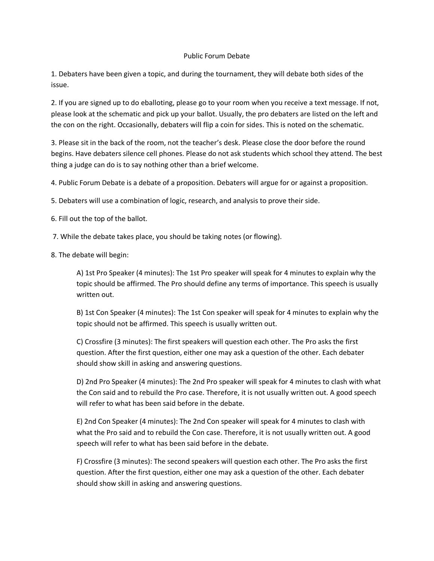## Public Forum Debate

1. Debaters have been given a topic, and during the tournament, they will debate both sides of the issue.

2. If you are signed up to do eballoting, please go to your room when you receive a text message. If not, please look at the schematic and pick up your ballot. Usually, the pro debaters are listed on the left and the con on the right. Occasionally, debaters will flip a coin for sides. This is noted on the schematic.

3. Please sit in the back of the room, not the teacher's desk. Please close the door before the round begins. Have debaters silence cell phones. Please do not ask students which school they attend. The best thing a judge can do is to say nothing other than a brief welcome.

4. Public Forum Debate is a debate of a proposition. Debaters will argue for or against a proposition.

5. Debaters will use a combination of logic, research, and analysis to prove their side.

6. Fill out the top of the ballot.

- 7. While the debate takes place, you should be taking notes (or flowing).
- 8. The debate will begin:

A) 1st Pro Speaker (4 minutes): The 1st Pro speaker will speak for 4 minutes to explain why the topic should be affirmed. The Pro should define any terms of importance. This speech is usually written out.

B) 1st Con Speaker (4 minutes): The 1st Con speaker will speak for 4 minutes to explain why the topic should not be affirmed. This speech is usually written out.

C) Crossfire (3 minutes): The first speakers will question each other. The Pro asks the first question. After the first question, either one may ask a question of the other. Each debater should show skill in asking and answering questions.

D) 2nd Pro Speaker (4 minutes): The 2nd Pro speaker will speak for 4 minutes to clash with what the Con said and to rebuild the Pro case. Therefore, it is not usually written out. A good speech will refer to what has been said before in the debate.

E) 2nd Con Speaker (4 minutes): The 2nd Con speaker will speak for 4 minutes to clash with what the Pro said and to rebuild the Con case. Therefore, it is not usually written out. A good speech will refer to what has been said before in the debate.

F) Crossfire (3 minutes): The second speakers will question each other. The Pro asks the first question. After the first question, either one may ask a question of the other. Each debater should show skill in asking and answering questions.